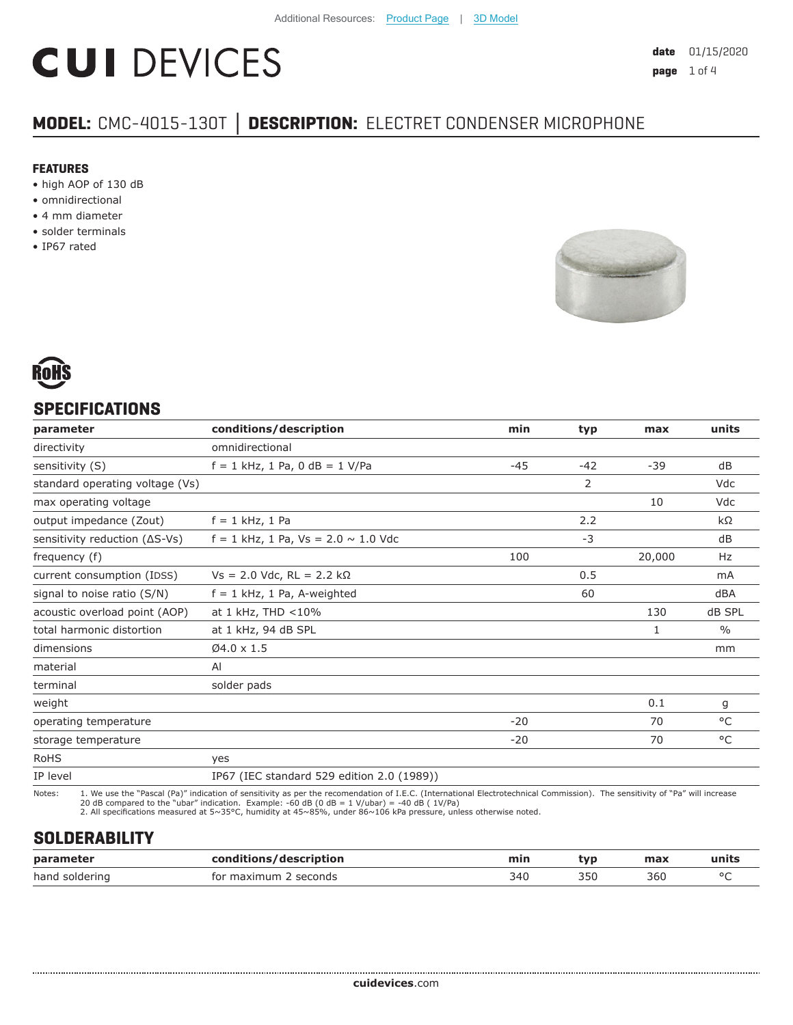# **CUI DEVICES**

### **MODEL:** CMC-4015-130T **│ DESCRIPTION:** ELECTRET CONDENSER MICROPHONE

#### **FEATURES**

- high AOP of 130 dB
- omnidirectional
- 4 mm diameter
- solder terminals
- IP67 rated





#### **SPECIFICATIONS**

| parameter                               | conditions/description                     | min   | typ            | max    | units         |
|-----------------------------------------|--------------------------------------------|-------|----------------|--------|---------------|
| directivity                             | omnidirectional                            |       |                |        |               |
| sensitivity (S)                         | $f = 1$ kHz, 1 Pa, 0 dB = 1 V/Pa           | $-45$ | $-42$          | $-39$  | dB            |
| standard operating voltage (Vs)         |                                            |       | $\overline{2}$ |        | Vdc           |
| max operating voltage                   |                                            |       |                | 10     | Vdc           |
| output impedance (Zout)                 | $f = 1$ kHz, 1 Pa                          |       | 2.2            |        | kΩ            |
| sensitivity reduction $( \Delta S$ -Vs) | $f = 1$ kHz, 1 Pa, Vs = 2.0 $\sim$ 1.0 Vdc |       | $-3$           |        | dB            |
| frequency (f)                           |                                            | 100   |                | 20,000 | Hz            |
| current consumption (IDSS)              | $Vs = 2.0$ Vdc, RL = 2.2 kΩ                |       | 0.5            |        | mA            |
| signal to noise ratio (S/N)             | $f = 1$ kHz, 1 Pa, A-weighted              |       | 60             |        | dBA           |
| acoustic overload point (AOP)           | at 1 kHz, THD <10%                         |       |                | 130    | dB SPL        |
| total harmonic distortion               | at 1 kHz, 94 dB SPL                        |       |                | 1      | $\frac{0}{0}$ |
| dimensions                              | $Ø4.0 \times 1.5$                          |       |                |        | mm            |
| material                                | AI                                         |       |                |        |               |
| terminal                                | solder pads                                |       |                |        |               |
| weight                                  |                                            |       |                | 0.1    | g             |
| operating temperature                   |                                            | $-20$ |                | 70     | °C            |
| storage temperature                     |                                            | $-20$ |                | 70     | $^{\circ}$ C  |
| <b>RoHS</b>                             | yes                                        |       |                |        |               |
| IP level                                | IP67 (IEC standard 529 edition 2.0 (1989)) |       |                |        |               |

Notes: 1. We use the "Pascal (Pa)" indication of sensitivity as per the recomendation of I.E.C. (International Electrotechnical Commission). The sensitivity of "Pa" will increase<br>20 dB compared to the "ubar" indica

#### **SOLDERABILITY**

| parameter      | conditions/description   | min | tvp | max | units |
|----------------|--------------------------|-----|-----|-----|-------|
| hand soldering | for maximum<br>: seconds | 340 |     | 360 |       |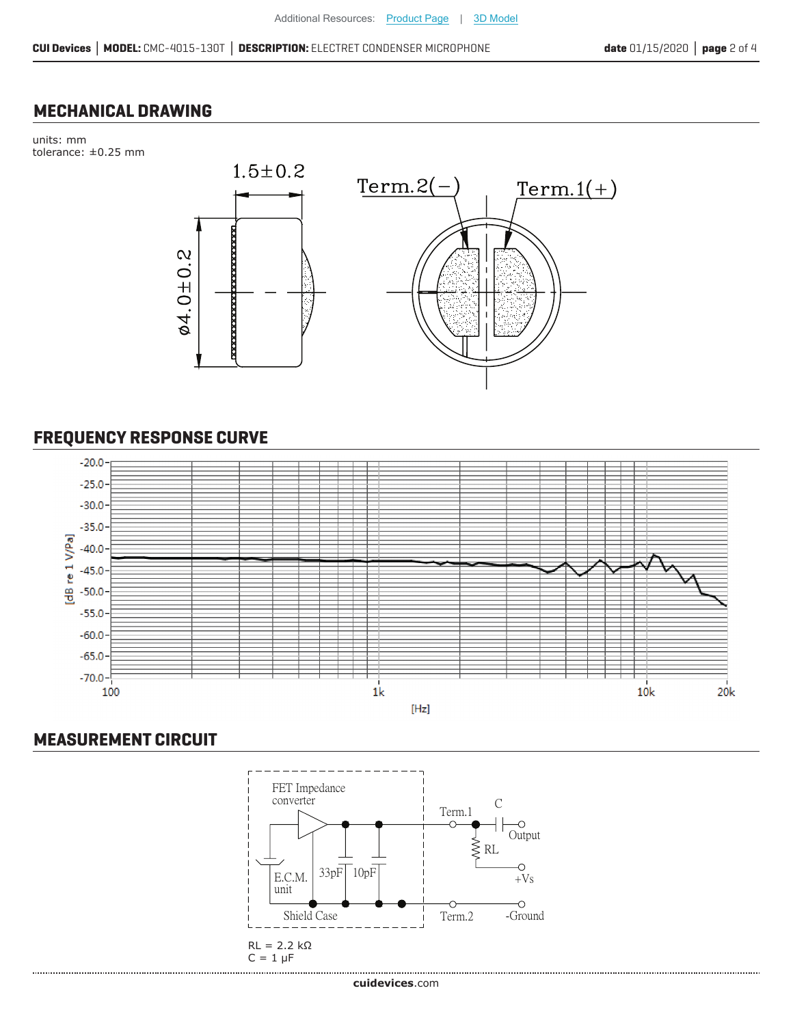#### **MECHANICAL DRAWING**

units: mm tolerance: ±0.25 mm



#### **FREQUENCY RESPONSE CURVE**



#### **MEASUREMENT CIRCUIT**

......................

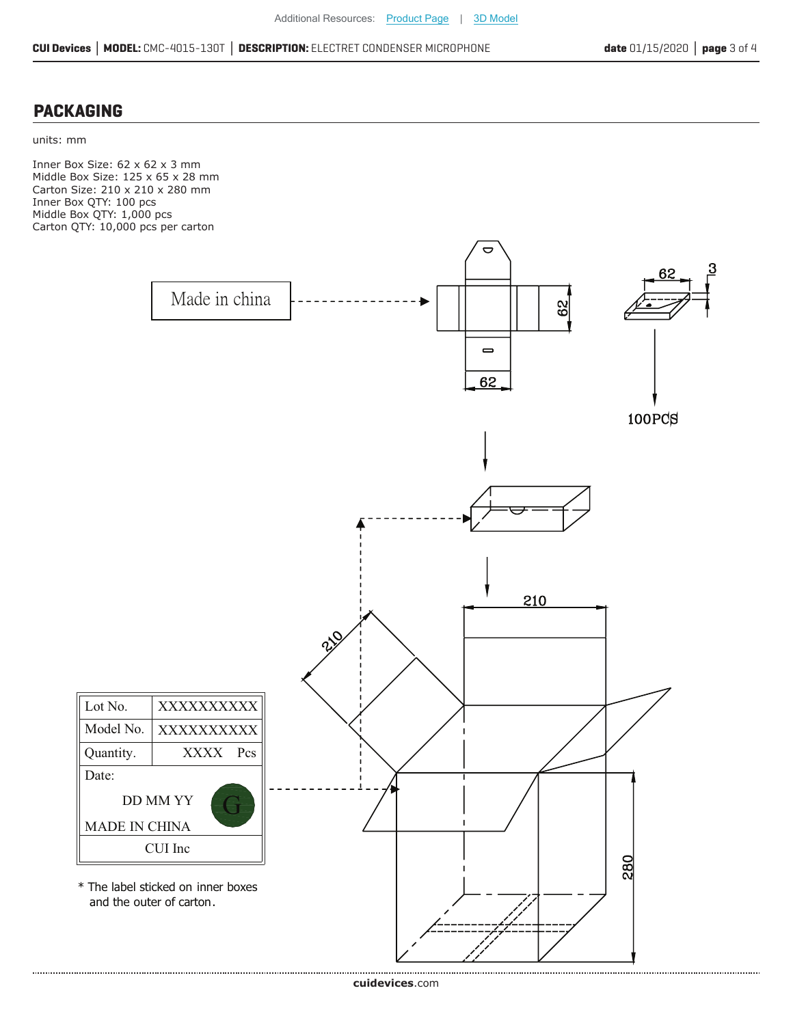#### **PACKAGING**

units: mm

Inner Box Size: 62 x 62 x 3 mm Middle Box Size: 125 x 65 x 28 mm Carton Size: 210 x 210 x 280 mm Inner Box QTY: 100 pcs Middle Box QTY: 1,000 pcs Carton QTY: 10,000 pcs per carton